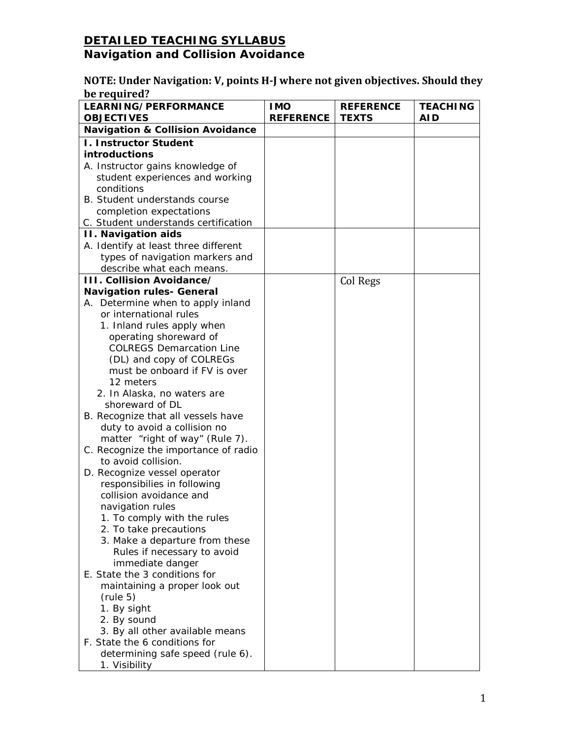#### **NOTE: Under Navigation: V, points H-J where not given objectives. Should they be required?**

| <b>LEARNING/PERFORMANCE</b><br><b>OBJECTIVES</b> | <b>IMO</b><br><b>REFERENCE</b> | <b>REFERENCE</b><br><b>TEXTS</b> | <b>TEACHING</b><br><b>AID</b> |
|--------------------------------------------------|--------------------------------|----------------------------------|-------------------------------|
| <b>Navigation &amp; Collision Avoidance</b>      |                                |                                  |                               |
| <b>I. Instructor Student</b>                     |                                |                                  |                               |
| introductions                                    |                                |                                  |                               |
| A. Instructor gains knowledge of                 |                                |                                  |                               |
| student experiences and working                  |                                |                                  |                               |
| conditions                                       |                                |                                  |                               |
| B. Student understands course                    |                                |                                  |                               |
| completion expectations                          |                                |                                  |                               |
| C. Student understands certification             |                                |                                  |                               |
| <b>II. Navigation aids</b>                       |                                |                                  |                               |
| A. Identify at least three different             |                                |                                  |                               |
| types of navigation markers and                  |                                |                                  |                               |
| describe what each means.                        |                                |                                  |                               |
| <b>III. Collision Avoidance/</b>                 |                                | Col Regs                         |                               |
| <b>Navigation rules- General</b>                 |                                |                                  |                               |
| A. Determine when to apply inland                |                                |                                  |                               |
| or international rules                           |                                |                                  |                               |
| 1. Inland rules apply when                       |                                |                                  |                               |
| operating shoreward of                           |                                |                                  |                               |
| <b>COLREGS Demarcation Line</b>                  |                                |                                  |                               |
| (DL) and copy of COLREGs                         |                                |                                  |                               |
| must be onboard if FV is over                    |                                |                                  |                               |
| 12 meters                                        |                                |                                  |                               |
| 2. In Alaska, no waters are                      |                                |                                  |                               |
| shoreward of DL                                  |                                |                                  |                               |
| B. Recognize that all vessels have               |                                |                                  |                               |
| duty to avoid a collision no                     |                                |                                  |                               |
| matter "right of way" (Rule 7).                  |                                |                                  |                               |
| C. Recognize the importance of radio             |                                |                                  |                               |
| to avoid collision.                              |                                |                                  |                               |
| D. Recognize vessel operator                     |                                |                                  |                               |
| responsibilies in following                      |                                |                                  |                               |
| collision avoidance and                          |                                |                                  |                               |
| navigation rules                                 |                                |                                  |                               |
| 1. To comply with the rules                      |                                |                                  |                               |
| 2. To take precautions                           |                                |                                  |                               |
| 3. Make a departure from these                   |                                |                                  |                               |
| Rules if necessary to avoid                      |                                |                                  |                               |
| immediate danger                                 |                                |                                  |                               |
| E. State the 3 conditions for                    |                                |                                  |                               |
| maintaining a proper look out                    |                                |                                  |                               |
| (rule 5)                                         |                                |                                  |                               |
| 1. By sight                                      |                                |                                  |                               |
| 2. By sound                                      |                                |                                  |                               |
| 3. By all other available means                  |                                |                                  |                               |
| F. State the 6 conditions for                    |                                |                                  |                               |
| determining safe speed (rule 6).                 |                                |                                  |                               |
| 1. Visibility                                    |                                |                                  |                               |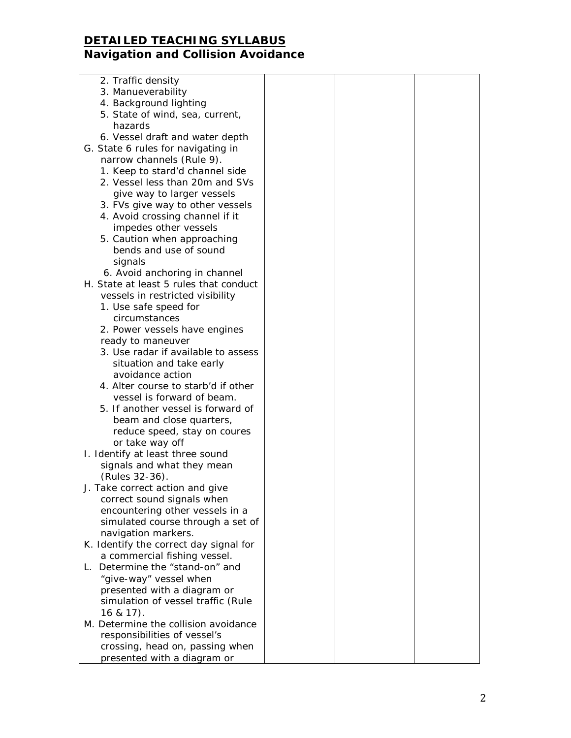| 2. Traffic density                     |  |  |
|----------------------------------------|--|--|
| 3. Manueverability                     |  |  |
| 4. Background lighting                 |  |  |
| 5. State of wind, sea, current,        |  |  |
| hazards                                |  |  |
| 6. Vessel draft and water depth        |  |  |
| G. State 6 rules for navigating in     |  |  |
| narrow channels (Rule 9).              |  |  |
| 1. Keep to stard'd channel side        |  |  |
| 2. Vessel less than 20m and SVs        |  |  |
| give way to larger vessels             |  |  |
| 3. FVs give way to other vessels       |  |  |
| 4. Avoid crossing channel if it        |  |  |
| impedes other vessels                  |  |  |
| 5. Caution when approaching            |  |  |
| bends and use of sound                 |  |  |
| signals                                |  |  |
| 6. Avoid anchoring in channel          |  |  |
| H. State at least 5 rules that conduct |  |  |
| vessels in restricted visibility       |  |  |
| 1. Use safe speed for                  |  |  |
| circumstances                          |  |  |
| 2. Power vessels have engines          |  |  |
| ready to maneuver                      |  |  |
| 3. Use radar if available to assess    |  |  |
| situation and take early               |  |  |
| avoidance action                       |  |  |
| 4. Alter course to starb'd if other    |  |  |
| vessel is forward of beam.             |  |  |
| 5. If another vessel is forward of     |  |  |
| beam and close quarters,               |  |  |
| reduce speed, stay on coures           |  |  |
| or take way off                        |  |  |
| I. Identify at least three sound       |  |  |
| signals and what they mean             |  |  |
| (Rules 32-36).                         |  |  |
| J. Take correct action and give        |  |  |
| correct sound signals when             |  |  |
| encountering other vessels in a        |  |  |
| simulated course through a set of      |  |  |
| navigation markers.                    |  |  |
| K. Identify the correct day signal for |  |  |
| a commercial fishing vessel.           |  |  |
| Determine the "stand-on" and<br>L.     |  |  |
| "give-way" vessel when                 |  |  |
| presented with a diagram or            |  |  |
| simulation of vessel traffic (Rule     |  |  |
| $16 & 17$ ).                           |  |  |
| M. Determine the collision avoidance   |  |  |
| responsibilities of vessel's           |  |  |
| crossing, head on, passing when        |  |  |
| presented with a diagram or            |  |  |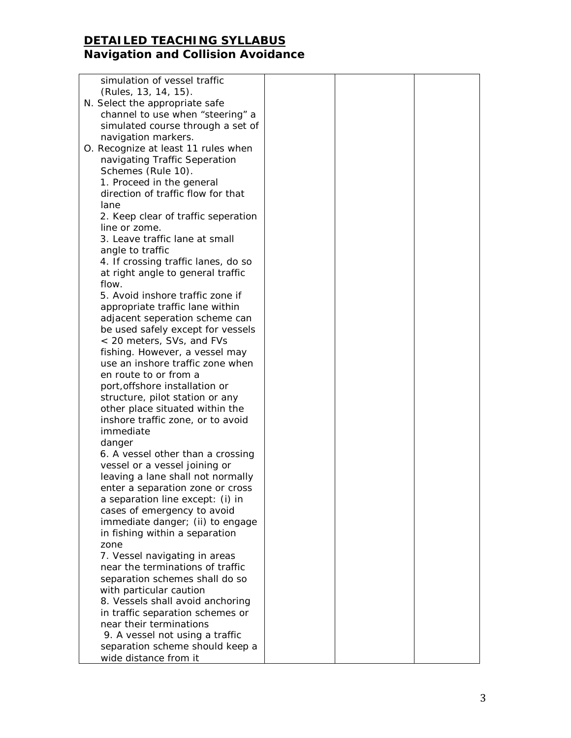| simulation of vessel traffic                         |  |  |
|------------------------------------------------------|--|--|
| (Rules, 13, 14, 15).                                 |  |  |
| N. Select the appropriate safe                       |  |  |
| channel to use when "steering" a                     |  |  |
| simulated course through a set of                    |  |  |
| navigation markers.                                  |  |  |
| O. Recognize at least 11 rules when                  |  |  |
| navigating Traffic Seperation                        |  |  |
| Schemes (Rule 10).                                   |  |  |
| 1. Proceed in the general                            |  |  |
| direction of traffic flow for that                   |  |  |
| lane                                                 |  |  |
|                                                      |  |  |
| 2. Keep clear of traffic seperation<br>line or zome. |  |  |
| 3. Leave traffic lane at small                       |  |  |
| angle to traffic                                     |  |  |
| 4. If crossing traffic lanes, do so                  |  |  |
| at right angle to general traffic                    |  |  |
| flow.                                                |  |  |
| 5. Avoid inshore traffic zone if                     |  |  |
| appropriate traffic lane within                      |  |  |
| adjacent seperation scheme can                       |  |  |
| be used safely except for vessels                    |  |  |
| < 20 meters, SVs, and FVs                            |  |  |
| fishing. However, a vessel may                       |  |  |
| use an inshore traffic zone when                     |  |  |
| en route to or from a                                |  |  |
| port, offshore installation or                       |  |  |
| structure, pilot station or any                      |  |  |
| other place situated within the                      |  |  |
| inshore traffic zone, or to avoid                    |  |  |
| immediate                                            |  |  |
| danger                                               |  |  |
| 6. A vessel other than a crossing                    |  |  |
| vessel or a vessel joining or                        |  |  |
| leaving a lane shall not normally                    |  |  |
| enter a separation zone or cross                     |  |  |
| a separation line except: (i) in                     |  |  |
| cases of emergency to avoid                          |  |  |
| immediate danger; (ii) to engage                     |  |  |
| in fishing within a separation                       |  |  |
| zone                                                 |  |  |
| 7. Vessel navigating in areas                        |  |  |
| near the terminations of traffic                     |  |  |
| separation schemes shall do so                       |  |  |
| with particular caution                              |  |  |
| 8. Vessels shall avoid anchoring                     |  |  |
| in traffic separation schemes or                     |  |  |
| near their terminations                              |  |  |
| 9. A vessel not using a traffic                      |  |  |
| separation scheme should keep a                      |  |  |
| wide distance from it                                |  |  |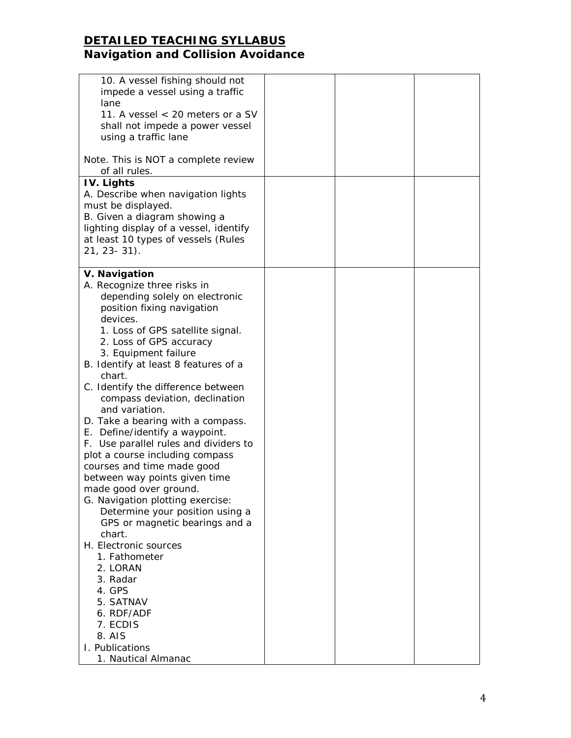| 10. A vessel fishing should not<br>impede a vessel using a traffic<br>lane<br>11. A vessel < 20 meters or a SV<br>shall not impede a power vessel<br>using a traffic lane                                                                                                                                                                                                                                                                                                                                                                                                                                                                                                                                                                                                                                           |  |  |
|---------------------------------------------------------------------------------------------------------------------------------------------------------------------------------------------------------------------------------------------------------------------------------------------------------------------------------------------------------------------------------------------------------------------------------------------------------------------------------------------------------------------------------------------------------------------------------------------------------------------------------------------------------------------------------------------------------------------------------------------------------------------------------------------------------------------|--|--|
| Note. This is NOT a complete review<br>of all rules.                                                                                                                                                                                                                                                                                                                                                                                                                                                                                                                                                                                                                                                                                                                                                                |  |  |
| IV. Lights<br>A. Describe when navigation lights<br>must be displayed.<br>B. Given a diagram showing a<br>lighting display of a vessel, identify<br>at least 10 types of vessels (Rules<br>$21, 23 - 31$ .                                                                                                                                                                                                                                                                                                                                                                                                                                                                                                                                                                                                          |  |  |
| V. Navigation<br>A. Recognize three risks in<br>depending solely on electronic<br>position fixing navigation<br>devices.<br>1. Loss of GPS satellite signal.<br>2. Loss of GPS accuracy<br>3. Equipment failure<br>B. Identify at least 8 features of a<br>chart.<br>C. Identify the difference between<br>compass deviation, declination<br>and variation.<br>D. Take a bearing with a compass.<br>E. Define/identify a waypoint.<br>F. Use parallel rules and dividers to<br>plot a course including compass<br>courses and time made good<br>between way points given time<br>made good over ground.<br>G. Navigation plotting exercise:<br>Determine your position using a<br>GPS or magnetic bearings and a<br>chart.<br>H. Electronic sources<br>1. Fathometer<br>2. LORAN<br>3. Radar<br>4. GPS<br>5. SATNAV |  |  |
| 6. RDF/ADF<br>7. ECDIS<br>8. AIS<br>I. Publications                                                                                                                                                                                                                                                                                                                                                                                                                                                                                                                                                                                                                                                                                                                                                                 |  |  |
| 1. Nautical Almanac                                                                                                                                                                                                                                                                                                                                                                                                                                                                                                                                                                                                                                                                                                                                                                                                 |  |  |